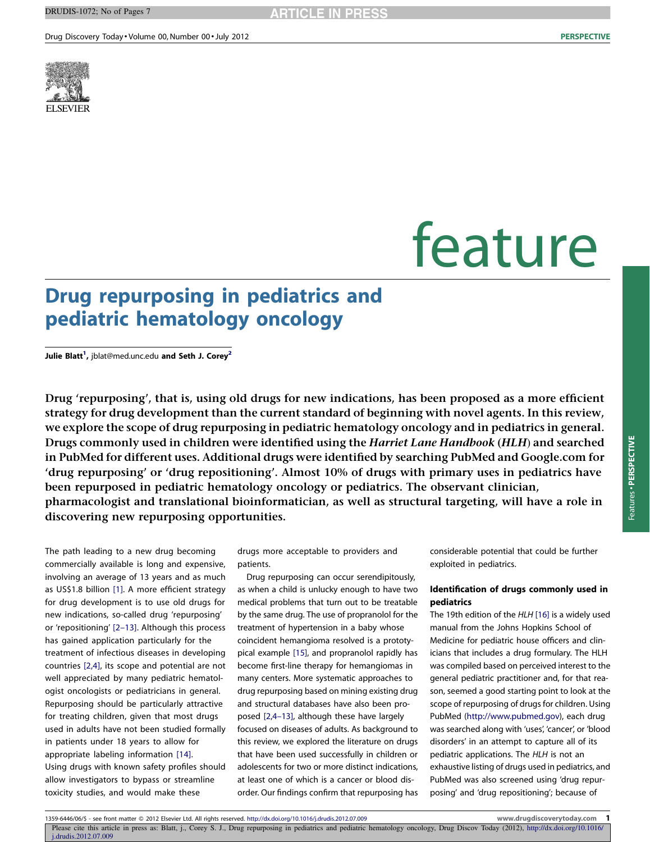

# feature

## Drug repurposing in pediatrics and pediatric hematology oncology

Julie Blatt<sup>1</sup>, jblat@med.unc.edu and Seth J. Corey<sup>2</sup>

Drug 'repurposing', that is, using old drugs for new indications, has been proposed as a more efficient strategy for drug development than the current standard of beginning with novel agents. In this review, we explore the scope of drug repurposing in pediatric hematology oncology and in pediatrics in general. Drugs commonly used in children were identified using the Harriet Lane Handbook (HLH) and searched in PubMed for different uses. Additional drugs were identified by searching PubMed and Google.com for 'drug repurposing' or 'drug repositioning'. Almost 10% of drugs with primary uses in pediatrics have been repurposed in pediatric hematology oncology or pediatrics. The observant clinician, pharmacologist and translational bioinformatician, as well as structural targeting, will have a role in discovering new repurposing opportunities.

The path leading to a new drug becoming commercially available is long and expensive, involving an average of 13 years and as much as US\$1.8 billion [\[1\].](#page-5-0) A more efficient strategy for drug development is to use old drugs for new indications, so-called drug 'repurposing' or 'repositioning' [\[2–13\]](#page-5-0). Although this process has gained application particularly for the treatment of infectious diseases in developing countries [\[2,4\]](#page-5-0), its scope and potential are not well appreciated by many pediatric hematologist oncologists or pediatricians in general. Repurposing should be particularly attractive for treating children, given that most drugs used in adults have not been studied formally in patients under 18 years to allow for appropriate labeling information [\[14\]](#page-5-0). Using drugs with known safety profiles should allow investigators to bypass or streamline toxicity studies, and would make these

drugs more acceptable to providers and patients.

Drug repurposing can occur serendipitously, as when a child is unlucky enough to have two medical problems that turn out to be treatable by the same drug. The use of propranolol for the treatment of hypertension in a baby whose coincident hemangioma resolved is a prototypical example [\[15\],](#page-5-0) and propranolol rapidly has become first-line therapy for hemangiomas in many centers. More systematic approaches to drug repurposing based on mining existing drug and structural databases have also been proposed [\[2,4–13\]](#page-5-0), although these have largely focused on diseases of adults. As background to this review, we explored the literature on drugs that have been used successfully in children or adolescents for two or more distinct indications, at least one of which is a cancer or blood disorder. Our findings confirm that repurposing has considerable potential that could be further exploited in pediatrics.

#### Identification of drugs commonly used in pediatrics

The 19th edition of the HLH [\[16\]](#page-5-0) is a widely used manual from the Johns Hopkins School of Medicine for pediatric house officers and clinicians that includes a drug formulary. The HLH was compiled based on perceived interest to the general pediatric practitioner and, for that reason, seemed a good starting point to look at the scope of repurposing of drugs for children. Using PubMed [\(http://www.pubmed.gov](http://www.pubmed.gov/)), each drug was searched along with 'uses', 'cancer', or 'blood disorders' in an attempt to capture all of its pediatric applications. The HLH is not an exhaustive listing of drugs used in pediatrics, and PubMed was also screened using 'drug repurposing' and 'drug repositioning'; because of

Please cite this article in press as: Blatt, j., Corey S. J., Drug repurposing in pediatrics and pediatric hematology oncology, Drug Discov Today (2012), [http://dx.doi.org/10.1016/](http://dx.doi.org/10.1016/j.drudis.2012.07.009) [j.drudis.2012.07.009](http://dx.doi.org/10.1016/j.drudis.2012.07.009)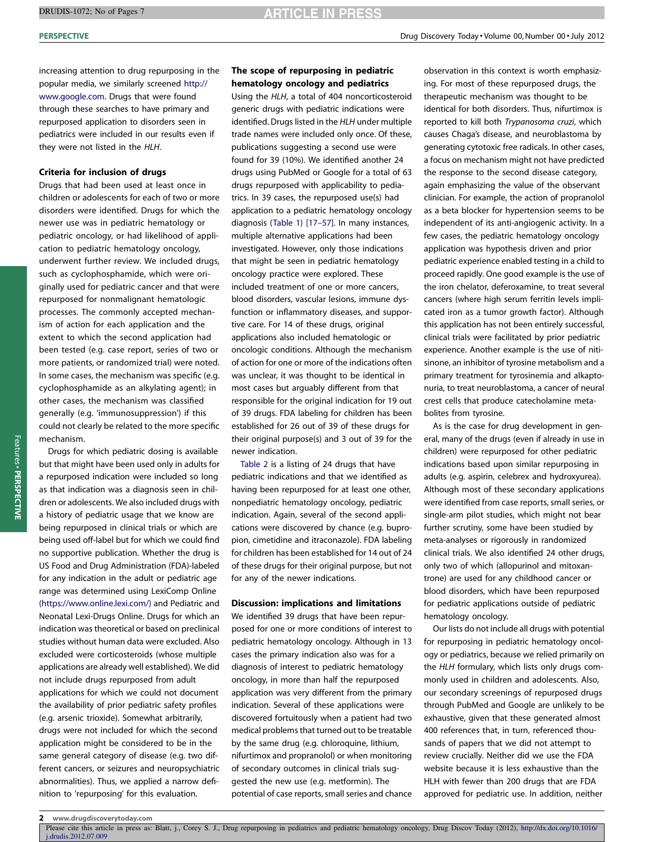increasing attention to drug repurposing in the popular media, we similarly screened [http://](http://www.google.com/) [www.google.com.](http://www.google.com/) Drugs that were found through these searches to have primary and repurposed application to disorders seen in pediatrics were included in our results even if they were not listed in the HLH.

#### Criteria for inclusion of drugs

Drugs that had been used at least once in children or adolescents for each of two or more disorders were identified. Drugs for which the newer use was in pediatric hematology or pediatric oncology, or had likelihood of application to pediatric hematology oncology, underwent further review. We included drugs, such as cyclophosphamide, which were originally used for pediatric cancer and that were repurposed for nonmalignant hematologic processes. The commonly accepted mechanism of action for each application and the extent to which the second application had been tested (e.g. case report, series of two or more patients, or randomized trial) were noted. In some cases, the mechanism was specific (e.g. cyclophosphamide as an alkylating agent); in other cases, the mechanism was classified generally (e.g. 'immunosuppression') if this could not clearly be related to the more specific mechanism.

Drugs for which pediatric dosing is available but that might have been used only in adults for a repurposed indication were included so long as that indication was a diagnosis seen in children or adolescents. We also included drugs with a history of pediatric usage that we know are being repurposed in clinical trials or which are being used off-label but for which we could find no supportive publication. Whether the drug is US Food and Drug Administration (FDA)-labeled for any indication in the adult or pediatric age range was determined using LexiComp Online [\(https://www.online.lexi.com/](https://www.online.lexi.com/)) and Pediatric and Neonatal Lexi-Drugs Online. Drugs for which an indication was theoretical or based on preclinical studies without human data were excluded. Also excluded were corticosteroids (whose multiple applications are already well established). We did not include drugs repurposed from adult applications for which we could not document the availability of prior pediatric safety profiles (e.g. arsenic trioxide). Somewhat arbitrarily, drugs were not included for which the second application might be considered to be in the same general category of disease (e.g. two different cancers, or seizures and neuropsychiatric abnormalities). Thus, we applied a narrow definition to 'repurposing' for this evaluation.

#### The scope of repurposing in pediatric hematology oncology and pediatrics

Using the HLH, a total of 404 noncorticosteroid generic drugs with pediatric indications were identified. Drugs listed in the HLH under multiple trade names were included only once. Of these, publications suggesting a second use were found for 39 (10%). We identified another 24 drugs using PubMed or Google for a total of 63 drugs repurposed with applicability to pediatrics. In 39 cases, the repurposed use(s) had application to a pediatric hematology oncology diagnosis ([Table](#page-2-0) 1) [\[17–57\].](#page-5-0) In many instances, multiple alternative applications had been investigated. However, only those indications that might be seen in pediatric hematology oncology practice were explored. These included treatment of one or more cancers, blood disorders, vascular lesions, immune dysfunction or inflammatory diseases, and supportive care. For 14 of these drugs, original applications also included hematologic or oncologic conditions. Although the mechanism of action for one or more of the indications often was unclear, it was thought to be identical in most cases but arguably different from that responsible for the original indication for 19 out of 39 drugs. FDA labeling for children has been established for 26 out of 39 of these drugs for their original purpose(s) and 3 out of 39 for the newer indication.

[Table](#page-4-0) 2 is a listing of 24 drugs that have pediatric indications and that we identified as having been repurposed for at least one other, nonpediatric hematology oncology, pediatric indication. Again, several of the second applications were discovered by chance (e.g. bupropion, cimetidine and itraconazole). FDA labeling for children has been established for 14 out of 24 of these drugs for their original purpose, but not for any of the newer indications.

#### Discussion: implications and limitations

We identified 39 drugs that have been repurposed for one or more conditions of interest to pediatric hematology oncology. Although in 13 cases the primary indication also was for a diagnosis of interest to pediatric hematology oncology, in more than half the repurposed application was very different from the primary indication. Several of these applications were discovered fortuitously when a patient had two medical problems that turned out to be treatable by the same drug (e.g. chloroquine, lithium, nifurtimox and propranolol) or when monitoring of secondary outcomes in clinical trials suggested the new use (e.g. metformin). The potential of case reports, small series and chance

observation in this context is worth emphasizing. For most of these repurposed drugs, the therapeutic mechanism was thought to be identical for both disorders. Thus, nifurtimox is reported to kill both Trypanosoma cruzi, which causes Chaga's disease, and neuroblastoma by generating cytotoxic free radicals. In other cases, a focus on mechanism might not have predicted the response to the second disease category, again emphasizing the value of the observant clinician. For example, the action of propranolol as a beta blocker for hypertension seems to be independent of its anti-angiogenic activity. In a few cases, the pediatric hematology oncology application was hypothesis driven and prior pediatric experience enabled testing in a child to proceed rapidly. One good example is the use of the iron chelator, deferoxamine, to treat several cancers (where high serum ferritin levels implicated iron as a tumor growth factor). Although this application has not been entirely successful, clinical trials were facilitated by prior pediatric experience. Another example is the use of nitisinone, an inhibitor of tyrosine metabolism and a primary treatment for tyrosinemia and alkaptonuria, to treat neuroblastoma, a cancer of neural crest cells that produce catecholamine metabolites from tyrosine.

As is the case for drug development in general, many of the drugs (even if already in use in children) were repurposed for other pediatric indications based upon similar repurposing in adults (e.g. aspirin, celebrex and hydroxyurea). Although most of these secondary applications were identified from case reports, small series, or single-arm pilot studies, which might not bear further scrutiny, some have been studied by meta-analyses or rigorously in randomized clinical trials. We also identified 24 other drugs, only two of which (allopurinol and mitoxantrone) are used for any childhood cancer or blood disorders, which have been repurposed for pediatric applications outside of pediatric hematology oncology.

Our lists do not include all drugs with potential for repurposing in pediatric hematology oncology or pediatrics, because we relied primarily on the HLH formulary, which lists only drugs commonly used in children and adolescents. Also, our secondary screenings of repurposed drugs through PubMed and Google are unlikely to be exhaustive, given that these generated almost 400 references that, in turn, referenced thousands of papers that we did not attempt to review crucially. Neither did we use the FDA website because it is less exhaustive than the HLH with fewer than 200 drugs that are FDA approved for pediatric use. In addition, neither

Features -

Please cite this article in press as: Blatt, j., Corey S. J., Drug repurposing in pediatrics and pediatric hematology oncology, Drug Discov Today (2012), [http://dx.doi.org/10.1016/](http://dx.doi.org/10.1016/j.drudis.2012.07.009) [j.drudis.2012.07.009](http://dx.doi.org/10.1016/j.drudis.2012.07.009)

<sup>2</sup> www.drugdiscoverytoday.com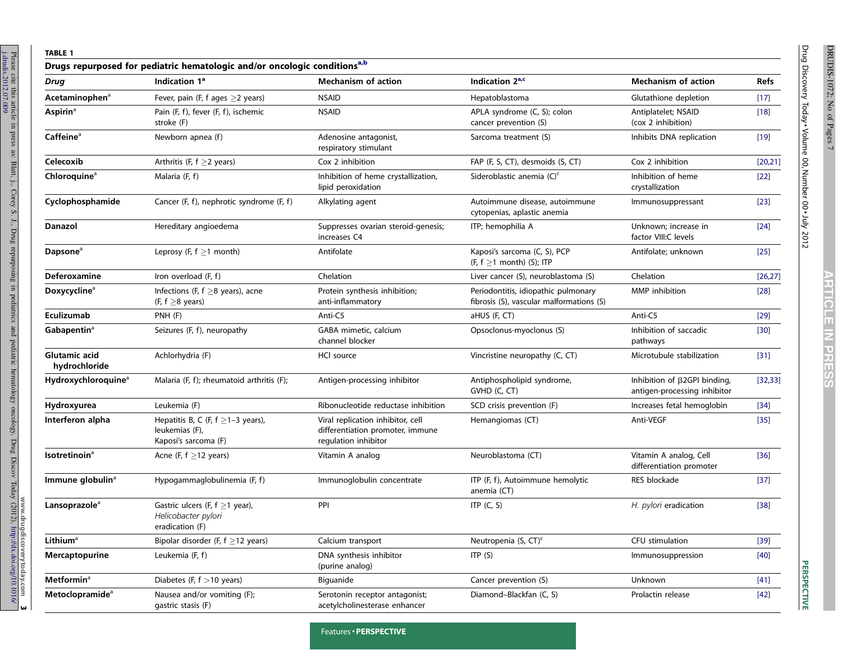<span id="page-2-0"></span>

| <b>Drug</b>                           | Indication 1 <sup>ª</sup>                                                        | <b>Mechanism of action</b>                                                                    | Indication 2 <sup>a,c</sup>                                                     | <b>Mechanism of action</b>                                          | Refs    |
|---------------------------------------|----------------------------------------------------------------------------------|-----------------------------------------------------------------------------------------------|---------------------------------------------------------------------------------|---------------------------------------------------------------------|---------|
|                                       |                                                                                  |                                                                                               |                                                                                 |                                                                     |         |
| <b>Acetaminophen</b> <sup>a</sup>     | Fever, pain (F, f ages $\geq$ 2 years)                                           | <b>NSAID</b>                                                                                  | Hepatoblastoma                                                                  | Glutathione depletion                                               | $[17]$  |
| Aspirin <sup>a</sup>                  | Pain (F, f), fever (F, f), ischemic<br>stroke (F)                                | <b>NSAID</b>                                                                                  | APLA syndrome (C, S); colon<br>cancer prevention (S)                            | Antiplatelet; NSAID<br>(cox 2 inhibition)                           | $[18]$  |
| $C$ affeine $a$                       | Newborn apnea (f)                                                                | Adenosine antagonist,<br>respiratory stimulant                                                | Sarcoma treatment (S)                                                           | Inhibits DNA replication                                            | $[19]$  |
| Celecoxib                             | Arthritis (F, $f \geq 2$ years)                                                  | Cox 2 inhibition                                                                              | FAP (F, S, CT), desmoids (S, CT)                                                | Cox 2 inhibition                                                    | [20, 2] |
| Chloroquine <sup>a</sup>              | Malaria (F, f)                                                                   | Inhibition of heme crystallization,<br>lipid peroxidation                                     | Sideroblastic anemia (C) <sup>c</sup>                                           | Inhibition of heme<br>crystallization                               | $[22]$  |
| Cyclophosphamide                      | Cancer (F, f), nephrotic syndrome (F, f)                                         | Alkylating agent                                                                              | Autoimmune disease, autoimmune<br>cytopenias, aplastic anemia                   | Immunosuppressant                                                   | $[23]$  |
| Danazol                               | Hereditary angioedema                                                            | Suppresses ovarian steroid-genesis;<br>increases C4                                           | ITP; hemophilia A                                                               | Unknown; increase in<br>factor VIII:C levels                        | $[24]$  |
| <b>Dapsone</b> <sup>a</sup>           | Leprosy (F, $f \ge 1$ month)                                                     | Antifolate                                                                                    | Kaposi's sarcoma (C, S), PCP<br>$(F, f > 1$ month) $(S)$ ; ITP                  | Antifolate; unknown                                                 | $[25]$  |
| <b>Deferoxamine</b>                   | Iron overload (F, f)                                                             | Chelation                                                                                     | Liver cancer (S), neuroblastoma (S)                                             | Chelation                                                           | [26, 2] |
| <b>Doxycycline</b> <sup>a</sup>       | Infections (F, $f \geq 8$ years), acne<br>(F, $f \geq 8$ years)                  | Protein synthesis inhibition;<br>anti-inflammatory                                            | Periodontitis, idiopathic pulmonary<br>fibrosis (S), vascular malformations (S) | <b>MMP</b> inhibition                                               | $[28]$  |
| Eculizumab                            | PNH (F)                                                                          | Anti-C5                                                                                       | aHUS (F, CT)                                                                    | Anti-C5                                                             | $[29]$  |
| Gabapentin <sup>a</sup>               | Seizures (F, f), neuropathy                                                      | GABA mimetic, calcium<br>channel blocker                                                      | Opsoclonus-myoclonus (S)                                                        | Inhibition of saccadic<br>pathways                                  | $[30]$  |
| <b>Glutamic acid</b><br>hydrochloride | Achlorhydria (F)                                                                 | HCl source                                                                                    | Vincristine neuropathy (C, CT)                                                  | Microtubule stabilization                                           | $[31]$  |
| Hydroxychloroquine <sup>a</sup>       | Malaria (F, f); rheumatoid arthritis (F);                                        | Antigen-processing inhibitor                                                                  | Antiphospholipid syndrome,<br>GVHD (C, CT)                                      | Inhibition of <b>B2GPI</b> binding,<br>antigen-processing inhibitor | [32,3]  |
| Hydroxyurea                           | Leukemia (F)                                                                     | Ribonucleotide reductase inhibition                                                           | SCD crisis prevention (F)                                                       | Increases fetal hemoglobin                                          | $[34]$  |
| Interferon alpha                      | Hepatitis B, C (F, $f \ge 1-3$ years),<br>leukemias (F),<br>Kaposi's sarcoma (F) | Viral replication inhibitor, cell<br>differentiation promoter, immune<br>regulation inhibitor | Hemangiomas (CT)                                                                | Anti-VEGF                                                           | $[35]$  |
| <b>Isotretinoin</b> <sup>a</sup>      | Acne (F, $f \geq 12$ years)                                                      | Vitamin A analog                                                                              | Neuroblastoma (CT)                                                              | Vitamin A analog, Cell<br>differentiation promoter                  | $[36]$  |
| Immune globulin <sup>a</sup>          | Hypogammaglobulinemia (F, f)                                                     | Immunoglobulin concentrate                                                                    | ITP (F, f), Autoimmune hemolytic<br>anemia (CT)                                 | RES blockade                                                        | $[37]$  |
| Lansoprazole <sup>a</sup>             | Gastric ulcers (F, $f > 1$ year),<br>Helicobacter pylori<br>eradication (F)      | PPI                                                                                           | ITP $(C, S)$                                                                    | H. pylori eradication                                               | $[38]$  |
| Lithium <sup>a</sup>                  | Bipolar disorder (F, $f > 12$ years)                                             | Calcium transport                                                                             | Neutropenia (S, CT) <sup>c</sup>                                                | CFU stimulation                                                     | $[39]$  |
| Mercaptopurine                        | Leukemia (F, f)                                                                  | DNA synthesis inhibitor<br>(purine analog)                                                    | ITP(S)                                                                          | Immunosuppression                                                   | $[40]$  |
| <b>Metformin</b> <sup>a</sup>         | Diabetes (F, $f > 10$ years)                                                     | Biguanide                                                                                     | Cancer prevention (S)                                                           | Unknown                                                             | $[41]$  |
| Metoclopramide <sup>a</sup>           | Nausea and/or vomiting (F);<br>qastric stasis (F)                                | Serotonin receptor antagonist;<br>acetylcholinesterase enhancer                               | Diamond-Blackfan (C, S)                                                         | Prolactin release                                                   | $[42]$  |

[\[32,33\]](#page-5-0)

DRUDIS-1072;

No of Pages 7

00 - July

2012

| <b>Features • PERSPECTIVE</b> |  |
|-------------------------------|--|
|-------------------------------|--|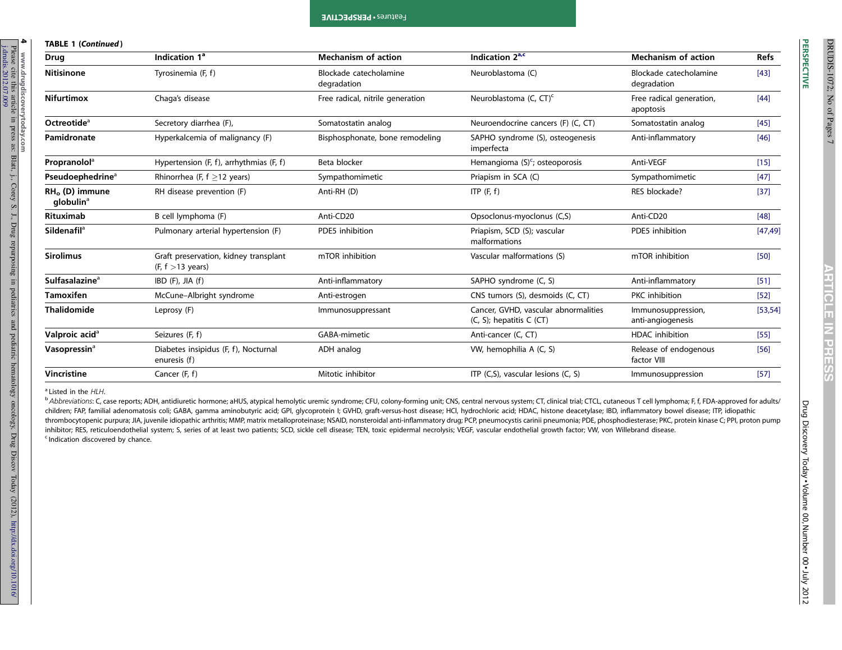<span id="page-3-0"></span>

| <b>Drug</b>                                | Indication 1 <sup>ª</sup>                                            | <b>Mechanism of action</b>            | Indication 2 <sup>a,c</sup>                                           | <b>Mechanism of action</b>              | <b>Refs</b> |
|--------------------------------------------|----------------------------------------------------------------------|---------------------------------------|-----------------------------------------------------------------------|-----------------------------------------|-------------|
| <b>Nitisinone</b>                          | Tyrosinemia (F, f)                                                   | Blockade catecholamine<br>degradation | Neuroblastoma (C)                                                     | Blockade catecholamine<br>degradation   | [43]        |
| <b>Nifurtimox</b>                          | Chaga's disease                                                      | Free radical, nitrile generation      | Neuroblastoma (C, CT) <sup>c</sup>                                    | Free radical generation,<br>apoptosis   | [44]        |
| Octreotide <sup>a</sup>                    | Secretory diarrhea (F),                                              | Somatostatin analog                   | Neuroendocrine cancers (F) (C, CT)                                    | Somatostatin analog                     | $[45]$      |
| <b>Pamidronate</b>                         | Hyperkalcemia of malignancy (F)                                      | Bisphosphonate, bone remodeling       | SAPHO syndrome (S), osteogenesis<br>imperfecta                        | Anti-inflammatory                       | $[46]$      |
| <b>Propranolol</b> <sup>a</sup>            | Hypertension (F, f), arrhythmias (F, f)                              | Beta blocker                          | Hemangioma $(S)^c$ ; osteoporosis                                     | Anti-VEGF                               | [15]        |
| Pseudoephedrine <sup>a</sup>               | Rhinorrhea (F, $f > 12$ years)                                       | Sympathomimetic                       | Priapism in SCA (C)                                                   | Sympathomimetic                         | $[47]$      |
| $RH_0$ (D) immune<br>qlobulin <sup>a</sup> | RH disease prevention (F)                                            | Anti-RH (D)                           | $ITP$ (F, f)                                                          | RES blockade?                           | $[37]$      |
| <b>Rituximab</b>                           | B cell lymphoma (F)                                                  | Anti-CD20                             | Opsoclonus-myoclonus (C,S)                                            | Anti-CD20                               | [48]        |
| <b>Sildenafil<sup>a</sup></b>              | Pulmonary arterial hypertension (F)                                  | PDE5 inhibition                       | Priapism, SCD (S); vascular<br>malformations                          | PDE5 inhibition                         | [47, 49]    |
| <b>Sirolimus</b>                           | Graft preservation, kidney transplant<br>$(F, f > 13 \text{ years})$ | mTOR inhibition                       | Vascular malformations (S)                                            | mTOR inhibition                         | [50]        |
| <b>Sulfasalazine<sup>a</sup></b>           | $IBD$ (F), JIA (f)                                                   | Anti-inflammatory                     | SAPHO syndrome (C, S)                                                 | Anti-inflammatory                       | [51]        |
| <b>Tamoxifen</b>                           | McCune-Albright syndrome                                             | Anti-estrogen                         | CNS tumors (S), desmoids (C, CT)                                      | PKC inhibition                          | $[52]$      |
| <b>Thalidomide</b>                         | Leprosy (F)                                                          | Immunosuppressant                     | Cancer, GVHD, vascular abnormalities<br>$(C, S)$ ; hepatitis $C$ (CT) | Immunosuppression,<br>anti-angiogenesis | [53, 54]    |
| Valproic acid <sup>a</sup>                 | Seizures (F, f)                                                      | GABA-mimetic                          | Anti-cancer (C, CT)                                                   | <b>HDAC</b> inhibition                  | $[55]$      |
| Vasopressin <sup>a</sup>                   | Diabetes insipidus (F, f), Nocturnal<br>enuresis (f)                 | ADH analog                            | VW, hemophilia A (C, S)                                               | Release of endogenous<br>factor VIII    | [56]        |
| <b>Vincristine</b>                         | Cancer (F, f)                                                        | Mitotic inhibitor                     | ITP (C,S), vascular lesions (C, S)                                    | Immunosuppression                       | $[57]$      |
|                                            |                                                                      |                                       |                                                                       |                                         |             |

 $^{\rm a}$  Listed in the  $HLH$ .

<sup>b</sup> Abbreviations: C, case reports; ADH, antidiuretic hormone; aHUS, atypical hemolytic uremic syndrome; CFU, colony-forming unit; CNS, central nervous system; CT, clinical trial; CTCL, cutaneous T cell lymphoma; F, f, FDA children; FAP, familial adenomatosis coli; GABA, gamma aminobutyric acid; GPI, glycoprotein I; GVHD, graft-versus-host disease; HCI, hydrochloric acid; HDAC, histone deacetylase; IBD, inflammatory bowel disease; ITP, idiop thrombocytopenic purpura; JIA, juvenile idiopathic arthritis; MMP, matrix metalloproteinase; NSAID, nonsteroidal anti-inflammatory drug; PCP, pneumocystis carinii pneumonia; PDE, phosphodiesterase; PKC, protein kinase C; P inhibitor; RES, reticuloendothelial system; S, series of at least two patients; SCD, sickle cell disease; TEN, toxic epidermal necrolysis; VEGF, vascular endothelial growth factor; VW, von Willebrand disease. <sup>c</sup> Indication discovered by chance.

of Pages 7

**PERSPECTIVE** 

PERSPECTIVE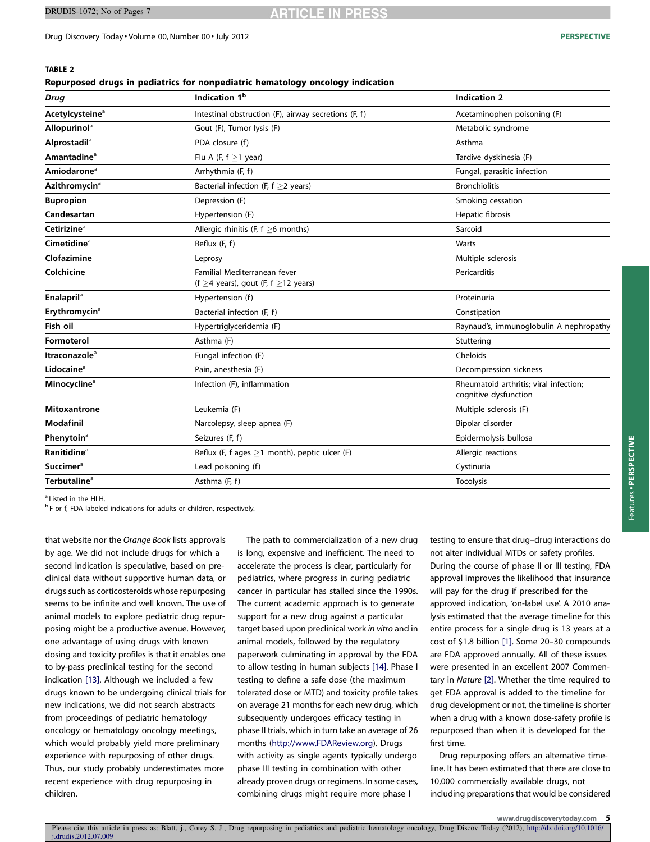#### <span id="page-4-0"></span>TABLE 2

|                                 | Repurposed drugs in pediatrics for nonpediatric hematology oncology indication |                                                                 |  |
|---------------------------------|--------------------------------------------------------------------------------|-----------------------------------------------------------------|--|
| <b>Drug</b>                     | Indication 1 <sup>b</sup>                                                      | <b>Indication 2</b>                                             |  |
| Acetylcysteine <sup>a</sup>     | Intestinal obstruction (F), airway secretions (F, f)                           | Acetaminophen poisoning (F)                                     |  |
| <b>Allopurinol</b> <sup>a</sup> | Gout (F), Tumor lysis (F)                                                      | Metabolic syndrome                                              |  |
| <b>Alprostadil<sup>a</sup></b>  | PDA closure (f)                                                                | Asthma                                                          |  |
| Amantadine <sup>a</sup>         | Flu A (F, $f > 1$ year)                                                        | Tardive dyskinesia (F)                                          |  |
| Amiodarone <sup>a</sup>         | Arrhythmia (F, f)                                                              | Fungal, parasitic infection                                     |  |
| <b>Azithromycin<sup>a</sup></b> | Bacterial infection (F, $f \geq 2$ years)                                      | <b>Bronchiolitis</b>                                            |  |
| <b>Bupropion</b>                | Depression (F)                                                                 | Smoking cessation                                               |  |
| Candesartan                     | Hypertension (F)                                                               | Hepatic fibrosis                                                |  |
| Cetirizine <sup>a</sup>         | Allergic rhinitis (F, $f > 6$ months)                                          | Sarcoid                                                         |  |
| Cimetidine <sup>a</sup>         | Reflux (F, f)                                                                  | Warts                                                           |  |
| Clofazimine                     | Leprosy                                                                        | Multiple sclerosis                                              |  |
| Colchicine                      | Familial Mediterranean fever<br>(f $>4$ years), gout (F, f $>12$ years)        | Pericarditis                                                    |  |
| <b>Enalapril</b> <sup>a</sup>   | Hypertension (f)                                                               | Proteinuria                                                     |  |
| Erythromycin <sup>a</sup>       | Bacterial infection (F. f)                                                     | Constipation                                                    |  |
| Fish oil                        | Hypertriglyceridemia (F)                                                       | Raynaud's, immunoglobulin A nephropathy                         |  |
| Formoterol                      | Asthma (F)                                                                     | Stuttering                                                      |  |
| Itraconazole <sup>a</sup>       | Fungal infection (F)                                                           | Cheloids                                                        |  |
| Lidocaine <sup>a</sup>          | Pain, anesthesia (F)                                                           | Decompression sickness                                          |  |
| Minocycline <sup>a</sup>        | Infection (F), inflammation                                                    | Rheumatoid arthritis; viral infection;<br>cognitive dysfunction |  |
| <b>Mitoxantrone</b>             | Leukemia (F)                                                                   | Multiple sclerosis (F)                                          |  |
| <b>Modafinil</b>                | Narcolepsy, sleep apnea (F)                                                    | Bipolar disorder                                                |  |
| <b>Phenytoin</b> <sup>ª</sup>   | Seizures (F, f)                                                                | Epidermolysis bullosa                                           |  |
| <b>Ranitidine</b> <sup>a</sup>  | Reflux (F, f ages $>1$ month), peptic ulcer (F)                                | Allergic reactions                                              |  |
| <b>Succimer</b> <sup>a</sup>    | Lead poisoning (f)                                                             | Cystinuria                                                      |  |
| Terbutaline <sup>a</sup>        | Asthma (F, f)                                                                  | Tocolysis                                                       |  |
|                                 |                                                                                |                                                                 |  |

<sup>a</sup> Listed in the HLH.

<sup>b</sup> F or f, FDA-labeled indications for adults or children, respectively.

that website nor the Orange Book lists approvals by age. We did not include drugs for which a second indication is speculative, based on preclinical data without supportive human data, or drugs such as corticosteroids whose repurposing seems to be infinite and well known. The use of animal models to explore pediatric drug repurposing might be a productive avenue. However, one advantage of using drugs with known dosing and toxicity profiles is that it enables one to by-pass preclinical testing for the second indication [\[13\].](#page-5-0) Although we included a few drugs known to be undergoing clinical trials for new indications, we did not search abstracts from proceedings of pediatric hematology oncology or hematology oncology meetings, which would probably yield more preliminary experience with repurposing of other drugs. Thus, our study probably underestimates more recent experience with drug repurposing in children.

The path to commercialization of a new drug is long, expensive and inefficient. The need to accelerate the process is clear, particularly for pediatrics, where progress in curing pediatric cancer in particular has stalled since the 1990s. The current academic approach is to generate support for a new drug against a particular target based upon preclinical work in vitro and in animal models, followed by the regulatory paperwork culminating in approval by the FDA to allow testing in human subjects [\[14\]](#page-5-0). Phase I testing to define a safe dose (the maximum tolerated dose or MTD) and toxicity profile takes on average 21 months for each new drug, which subsequently undergoes efficacy testing in phase II trials, which in turn take an average of 26 months [\(http://www.FDAReview.org\)](http://www.fdareview.org/). Drugs with activity as single agents typically undergo phase III testing in combination with other already proven drugs or regimens. In some cases, combining drugs might require more phase I

testing to ensure that drug–drug interactions do not alter individual MTDs or safety profiles. During the course of phase II or III testing, FDA approval improves the likelihood that insurance will pay for the drug if prescribed for the approved indication, 'on-label use'. A 2010 analysis estimated that the average timeline for this entire process for a single drug is 13 years at a cost of \$1.8 billion [\[1\]](#page-5-0). Some 20–30 compounds are FDA approved annually. All of these issues were presented in an excellent 2007 Commentary in Nature [\[2\].](#page-5-0) Whether the time required to get FDA approval is added to the timeline for drug development or not, the timeline is shorter when a drug with a known dose-safety profile is repurposed than when it is developed for the first time.

Drug repurposing offers an alternative timeline. It has been estimated that there are close to 10,000 commercially available drugs, not including preparations that would be considered

Features . PERSPECTIVE Features -

PERSPECTIVE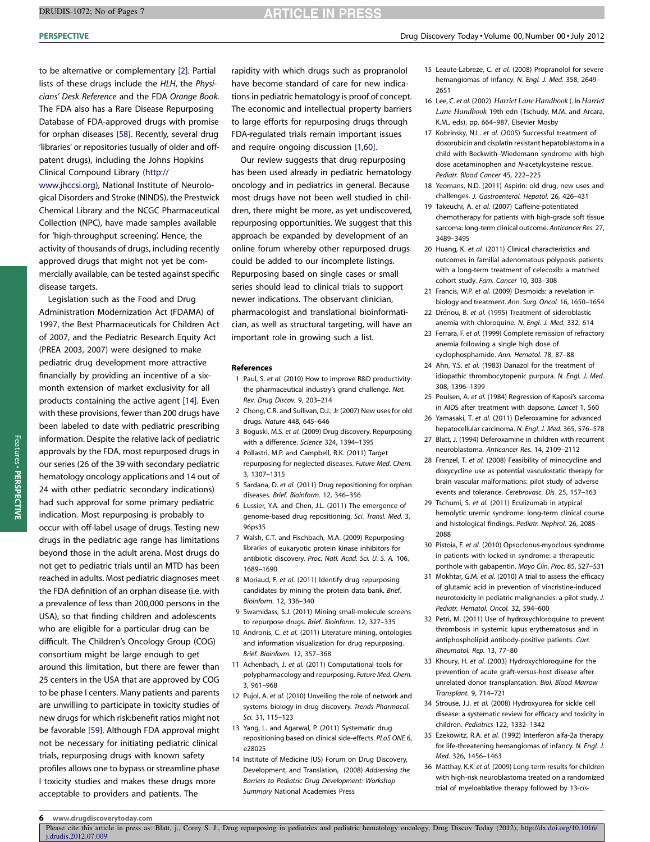### **ARTICLE IN PRESS**

<span id="page-5-0"></span>to be alternative or complementary [2]. Partial lists of these drugs include the HLH, the Physicians' Desk Reference and the FDA Orange Book. The FDA also has a Rare Disease Repurposing Database of FDA-approved drugs with promise for orphan diseases [\[58\]](#page-6-0). Recently, several drug 'libraries' or repositories (usually of older and offpatent drugs), including the Johns Hopkins Clinical Compound Library ([http://](http://www.jhccsi.org/) [www.jhccsi.org](http://www.jhccsi.org/)), National Institute of Neurological Disorders and Stroke (NINDS), the Prestwick Chemical Library and the NCGC Pharmaceutical Collection (NPC), have made samples available for 'high-throughput screening'. Hence, the activity of thousands of drugs, including recently approved drugs that might not yet be com-

mercially available, can be tested against specific

disease targets. Legislation such as the Food and Drug Administration Modernization Act (FDAMA) of 1997, the Best Pharmaceuticals for Children Act of 2007, and the Pediatric Research Equity Act (PREA 2003, 2007) were designed to make pediatric drug development more attractive financially by providing an incentive of a sixmonth extension of market exclusivity for all products containing the active agent [14]. Even with these provisions, fewer than 200 drugs have been labeled to date with pediatric prescribing information. Despite the relative lack of pediatric approvals by the FDA, most repurposed drugs in our series (26 of the 39 with secondary pediatric hematology oncology applications and 14 out of 24 with other pediatric secondary indications) had such approval for some primary pediatric indication. Most repurposing is probably to occur with off-label usage of drugs. Testing new drugs in the pediatric age range has limitations beyond those in the adult arena. Most drugs do not get to pediatric trials until an MTD has been reached in adults. Most pediatric diagnoses meet the FDA definition of an orphan disease (i.e. with a prevalence of less than 200,000 persons in the USA), so that finding children and adolescents who are eligible for a particular drug can be difficult. The Children's Oncology Group (COG) consortium might be large enough to get around this limitation, but there are fewer than 25 centers in the USA that are approved by COG to be phase I centers. Many patients and parents are unwilling to participate in toxicity studies of new drugs for which risk:benefit ratios might not be favorable [\[59\]](#page-6-0). Although FDA approval might not be necessary for initiating pediatric clinical trials, repurposing drugs with known safety profiles allows one to bypass or streamline phase I toxicity studies and makes these drugs more acceptable to providers and patients. The

rapidity with which drugs such as propranolol have become standard of care for new indications in pediatric hematology is proof of concept. The economic and intellectual property barriers to large efforts for repurposing drugs through FDA-regulated trials remain important issues and require ongoing discussion [1,60].

Our review suggests that drug repurposing has been used already in pediatric hematology oncology and in pediatrics in general. Because most drugs have not been well studied in children, there might be more, as yet undiscovered, repurposing opportunities. We suggest that this approach be expanded by development of an online forum whereby other repurposed drugs could be added to our incomplete listings. Repurposing based on single cases or small series should lead to clinical trials to support newer indications. The observant clinician, pharmacologist and translational bioinformatician, as well as structural targeting, will have an important role in growing such a list.

#### References

- 1 Paul, S. et al. (2010) How to improve R&D productivity: the pharmaceutical industry's grand challenge. Nat. Rev. Drug Discov. 9, 203–214
- 2 Chong, C.R. and Sullivan, D.J., Jr (2007) New uses for old drugs. Nature 448, 645–646
- 3 Boguski, M.S. et al. (2009) Drug discovery. Repurposing with a difference. Science 324, 1394–1395
- 4 Pollastri, M.P. and Campbell, R.K. (2011) Target repurposing for neglected diseases. Future Med. Chem. 3, 1307–1315
- 5 Sardana, D. et al. (2011) Drug repositioning for orphan diseases. Brief. Bioinform. 12, 346–356
- 6 Lussier, Y.A. and Chen, J.L. (2011) The emergence of genome-based drug repositioning. Sci. Transl. Med. 3, 96ps35
- 7 Walsh, C.T. and Fischbach, M.A. (2009) Repurposing libraries of eukaryotic protein kinase inhibitors for antibiotic discovery. Proc. Natl. Acad. Sci. U. S. A. 106, 1689–1690
- 8 Moriaud, F. et al. (2011) Identify drug repurposing candidates by mining the protein data bank. Brief. Bioinform. 12, 336–340
- 9 Swamidass, S.J. (2011) Mining small-molecule screens to repurpose drugs. Brief. Bioinform. 12, 327–335
- 10 Andronis, C. et al. (2011) Literature mining, ontologies and information visualization for drug repurposing. Brief. Bioinform. 12, 357–368
- 11 Achenbach, J. et al. (2011) Computational tools for polypharmacology and repurposing. Future Med. Chem. 3, 961–968
- 12 Pujol, A. et al. (2010) Unveiling the role of network and systems biology in drug discovery. Trends Pharmacol. Sci. 31, 115–123
- 13 Yang, L. and Agarwal, P. (2011) Systematic drug repositioning based on clinical side-effects. PLoS ONE 6, e28025
- 14 Institute of Medicine (US) Forum on Drug Discovery, Development, and Translation, (2008) Addressing the Barriers to Pediatric Drug Development: Workshop Summary National Academies Press
- 15 Leaute-Labreze, C. et al. (2008) Propranolol for severe hemangiomas of infancy. N. Engl. J. Med. 358, 2649– 2651
- 16 Lee, C. et al. (2002) Harriet Lane Handbook (. In Harriet Lane Handbook 19th edn (Tschudy, M.M. and Arcara, K.M., eds), pp. 664–987, Elsevier Mosby
- 17 Kobrinsky, N.L. et al. (2005) Successful treatment of doxorubicin and cisplatin resistant hepatoblastoma in a child with Beckwith–Wiedemann syndrome with high dose acetaminophen and N-acetylcysteine rescue. Pediatr. Blood Cancer 45, 222–225
- 18 Yeomans, N.D. (2011) Aspirin: old drug, new uses and challenges. J. Gastroenterol. Hepatol. 26, 426–431
- 19 Takeuchi, A. et al. (2007) Caffeine-potentiated chemotherapy for patients with high-grade soft tissue sarcoma: long-term clinical outcome. Anticancer Res. 27, 3489–3495
- 20 Huang, K. et al. (2011) Clinical characteristics and outcomes in familial adenomatous polyposis patients with a long-term treatment of celecoxib: a matched cohort study. Fam. Cancer 10, 303–308
- 21 Francis, W.P. et al. (2009) Desmoids: a revelation in biology and treatment. Ann. Surg. Oncol. 16, 1650–1654
- 22 Drénou, B. et al. (1995) Treatment of sideroblastic anemia with chloroquine. N. Engl. J. Med. 332, 614
- 23 Ferrara, F. et al. (1999) Complete remission of refractory anemia following a single high dose of cyclophosphamide. Ann. Hematol. 78, 87–88
- 24 Ahn, Y.S. et al. (1983) Danazol for the treatment of idiopathic thrombocytopenic purpura. N. Engl. J. Med. 308, 1396–1399
- 25 Poulsen, A. et al. (1984) Regression of Kaposi's sarcoma in AIDS after treatment with dapsone. Lancet 1, 560 26 Yamasaki, T. et al. (2011) Deferoxamine for advanced
- hepatocellular carcinoma. N. Engl. J. Med. 365, 576–578 27 Blatt, J. (1994) Deferoxamine in children with recurrent
- neuroblastoma. Anticancer Res. 14, 2109–2112
- 28 Frenzel, T. et al. (2008) Feasibility of minocycline and doxycycline use as potential vasculostatic therapy for brain vascular malformations: pilot study of adverse events and tolerance. Cerebrovasc. Dis. 25, 157–163
- 29 Tschumi, S. et al. (2011) Eculizumab in atypical hemolytic uremic syndrome: long-term clinical course and histological findings. Pediatr. Nephrol. 26, 2085– 2088
- 30 Pistoia, F. et al. (2010) Opsoclonus-myoclous syndrome in patients with locked-in syndrome: a therapeutic porthole with gabapentin. Mayo Clin. Proc. 85, 527–531
- 31 Mokhtar, G.M. et al. (2010) A trial to assess the efficacy of glutamic acid in prevention of vincristine-induced neurotoxicity in pediatric malignancies: a pilot study. J. Pediatr. Hematol. Oncol. 32, 594–600
- 32 Petri, M. (2011) Use of hydroxychloroquine to prevent thrombosis in systemic lupus erythematosus and in antiphospholipid antibody-positive patients. Curr. Rheumatol. Rep. 13, 77–80
- 33 Khoury, H. et al. (2003) Hydroxychloroquine for the prevention of acute graft-versus-host disease after unrelated donor transplantation. Biol. Blood Marrow Transplant. 9, 714–721
- 34 Strouse, J.J. et al. (2008) Hydroxyurea for sickle cell disease: a systematic review for efficacy and toxicity in children. Pediatrics 122, 1332–1342
- 35 Ezekowitz, R.A. et al. (1992) Interferon alfa-2a therapy for life-threatening hemangiomas of infancy. N. Engl. J. Med. 326, 1456–1463
- 36 Matthay, K.K. et al. (2009) Long-term results for children with high-risk neuroblastoma treated on a randomized trial of myeloablative therapy followed by 13-cis-

Please cite this article in press as: Blatt, j., Corey S. J., Drug repurposing in pediatrics and pediatric hematology oncology, Drug Discov Today (2012), [http://dx.doi.org/10.1016/](http://dx.doi.org/10.1016/j.drudis.2012.07.009) [j.drudis.2012.07.009](http://dx.doi.org/10.1016/j.drudis.2012.07.009)

<sup>6</sup> www.drugdiscoverytoday.com